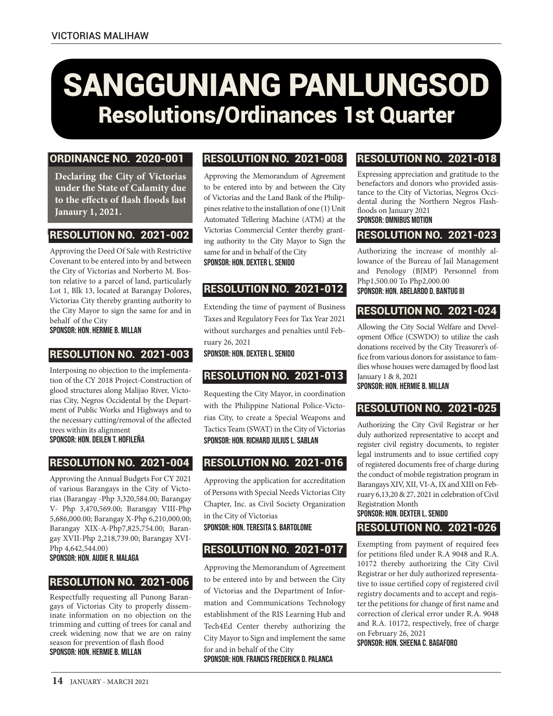# SANGGUNIANG PANLUNGSOD Resolutions/Ordinances 1st Quarter

#### ORDINANCE NO. 2020-001

**Declaring the City of Victorias under the State of Calamity due to the effects of flash floods last Janaury 1, 2021.**

## RESOLUTION NO. 2021-002

Approving the Deed Of Sale with Restrictive Covenant to be entered into by and between the City of Victorias and Norberto M. Boston relative to a parcel of land, particularly Lot 1, Blk 13, located at Barangay Dolores, Victorias City thereby granting authority to the City Mayor to sign the same for and in behalf of the City

Sponsor: Hon. Hermie B. Millan

## RESOLUTION NO. 2021-003

Interposing no objection to the implementation of the CY 2018 Project-Construction of glood structures along Malijao River, Victorias City, Negros Occidental by the Department of Public Works and Highways and to the necessary cutting/removal of the affected trees within its alignment

Sponsor: Hon. Deilen T. Hofileña

## RESOLUTION NO. 2021-004

Approving the Annual Budgets For CY 2021 of various Barangays in the City of Victorias (Barangay -Php 3,320,584.00; Barangay V- Php 3,470,569.00; Barangay VIII-Php 5,686,000.00; Barangay X-Php 6,210,000.00; Barangay XIX-A-Php7,825,754.00; Barangay XVII-Php 2,218,739.00; Barangay XVI-Php 4,642,544.00)

Sponsor: Hon. Audie R. Malaga

## RESOLUTION NO. 2021-006

Respectfully requesting all Punong Barangays of Victorias City to properly disseminate information on no objection on the trimming and cutting of trees for canal and creek widening now that we are on rainy season for prevention of flash flood Sponsor: Hon. Hermie B. Millan

## RESOLUTION NO. 2021-008

Approving the Memorandum of Agreement to be entered into by and between the City of Victorias and the Land Bank of the Philippines relative to the installation of one (1) Unit Automated Tellering Machine (ATM) at the Victorias Commercial Center thereby granting authority to the City Mayor to Sign the same for and in behalf of the City Sponsor: Hon. Dexter L. Senido

## RESOLUTION NO. 2021-012

Extending the time of payment of Business Taxes and Regulatory Fees for Tax Year 2021 without surcharges and penalties until February 26, 2021

Sponsor: Hon. Dexter L. Senido

## RESOLUTION NO. 2021-013

Requesting the City Mayor, in coordination with the Philippine National Police-Victorias City, to create a Special Weapons and Tactics Team (SWAT) in the City of Victorias Sponsor: Hon. Richard Julius L. Sablan

## RESOLUTION NO. 2021-016

Approving the application for accreditation of Persons with Special Needs Victorias City Chapter, Inc. as Civil Society Organization in the City of Victorias

Sponsor: Hon. Teresita S. BartolomE

## RESOLUTION NO. 2021-017

Approving the Memorandum of Agreement to be entered into by and between the City of Victorias and the Department of Information and Communications Technology establishment of the RIS Learning Hub and Tech4Ed Center thereby authorizing the City Mayor to Sign and implement the same for and in behalf of the City Sponsor: Hon. Francis Frederick D. PalancA

## RESOLUTION NO. 2021-018

Expressing appreciation and gratitude to the benefactors and donors who provided assistance to the City of Victorias, Negros Occidental during the Northern Negros Flashfloods on January 2021 Sponsor: Omnibus Motion

# RESOLUTION NO. 2021-023

Authorizing the increase of monthly allowance of the Bureau of Jail Management and Penology (BJMP) Personnel from Php1,500.00 To Php2,000.00 Sponsor: Hon. Abelardo D. Bantug III

## RESOLUTION NO. 2021-024

Allowing the City Social Welfare and Development Office (CSWDO) to utilize the cash donations received by the City Treasurer's office from various donors for assistance to families whose houses were damaged by flood last January 1 & 8, 2021

Sponsor: Hon. Hermie B. Millan

## RESOLUTION NO. 2021-025

Authorizing the City Civil Registrar or her duly authorized representative to accept and register civil registry documents, to register legal instruments and to issue certified copy of registered documents free of charge during the conduct of mobile registration program in Barangays XIV, XII, VI-A, IX and XIII on February 6,13,20 & 27, 2021 in celebration of Civil Registration Month

#### Sponsor: Hon. Dexter L. Senido RESOLUTION NO. 2021-026

Exempting from payment of required fees for petitions filed under R.A 9048 and R.A. 10172 thereby authorizing the City Civil Registrar or her duly authorized representative to issue certified copy of registered civil registry documents and to accept and register the petitions for change of first name and correction of clerical error under R.A. 9048 and R.A. 10172, respectively, free of charge on February 26, 2021

Sponsor: Hon. Sheena C. Bagaforo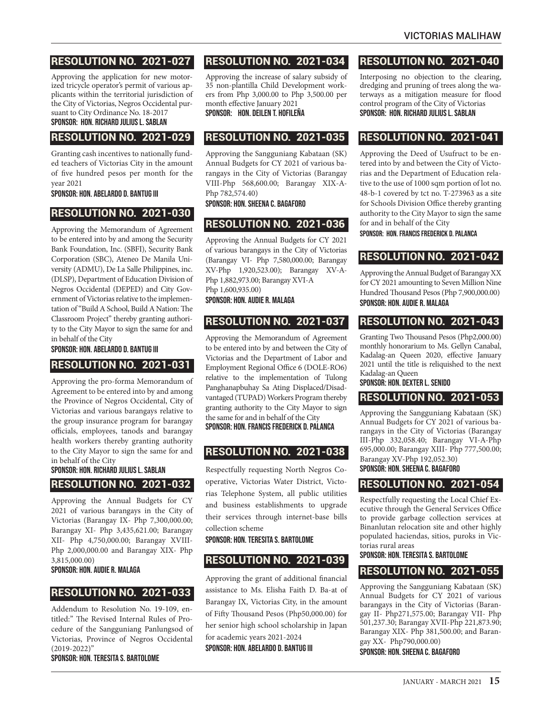## RESOLUTION NO. 2021-027

Approving the application for new motorized tricycle operator's permit of various applicants within the territorial jurisdiction of the City of Victorias, Negros Occidental pursuant to City Ordinance No. 18-2017 Sponsor: Hon. Richard Julius L. Sablan

#### RESOLUTION NO. 2021-029

Granting cash incentives to nationally funded teachers of Victorias City in the amount of five hundred pesos per month for the year 2021

Sponsor: Hon. Abelardo D. Bantug III

#### RESOLUTION NO. 2021-030

Approving the Memorandum of Agreement to be entered into by and among the Security Bank Foundation, Inc. (SBFI), Security Bank Corporation (SBC), Ateneo De Manila University (ADMU), De La Salle Philippines, inc. (DLSP), Department of Education Division of Negros Occidental (DEPED) and City Government of Victorias relative to the implementation of "Build A School, Build A Nation: The Classroom Project" thereby granting authority to the City Mayor to sign the same for and in behalf of the City

#### Sponsor: Hon. Abelardo D. Bantug III

#### RESOLUTION NO. 2021-031

Approving the pro-forma Memorandum of Agreement to be entered into by and among the Province of Negros Occidental, City of Victorias and various barangays relative to the group insurance program for barangay officials, employees, tanods and barangay health workers thereby granting authority to the City Mayor to sign the same for and in behalf of the City

## Sponsor: Hon. Richard Julius L. Sablan

#### RESOLUTION NO. 2021-032

Approving the Annual Budgets for CY 2021 of various barangays in the City of Victorias (Barangay IX- Php 7,300,000.00; Barangay XI- Php 3,435,621.00; Barangay XII- Php 4,750,000.00; Barangay XVIII-Php 2,000,000.00 and Barangay XIX- Php 3,815,000.00)

Sponsor: Hon. Audie R. Malaga

#### RESOLUTION NO. 2021-033

Addendum to Resolution No. 19-109, entitled:" The Revised Internal Rules of Procedure of the Sangguniang Panlungsod of Victorias, Province of Negros Occidental (2019-2022)"

Sponsor: Hon. Teresita S. Bartolome

# RESOLUTION NO. 2021-034

Approving the increase of salary subsidy of 35 non-plantilla Child Development workers from Php 3,000.00 to Php 3,500.00 per

#### month effective January 2021 Sponsor: Hon. Deilen T. Hofileña

## RESOLUTION NO. 2021-035

Approving the Sangguniang Kabataan (SK) Annual Budgets for CY 2021 of various barangays in the City of Victorias (Barangay VIII-Php 568,600.00; Barangay XIX-A-Php 782,574.40)

#### Sponsor: Hon. Sheena C. Bagaforo

#### RESOLUTION NO. 2021-036

Approving the Annual Budgets for CY 2021 of various barangays in the City of Victorias (Barangay VI- Php 7,580,000.00; Barangay XV-Php 1,920,523.00); Barangay XV-A-Php 1,882,973.00; Barangay XVI-A Php 1,600,935.00) Sponsor: Hon. Audie R. Malaga

## RESOLUTION NO. 2021-037

Approving the Memorandum of Agreement to be entered into by and between the City of Victorias and the Department of Labor and Employment Regional Office 6 (DOLE-RO6) relative to the implementation of Tulong Panghanapbuhay Sa Ating Displaced/Disadvantaged (TUPAD) Workers Program thereby granting authority to the City Mayor to sign the same for and in behalf of the City Sponsor: Hon. Francis Frederick D. Palanca

## RESOLUTION NO. 2021-038

Respectfully requesting North Negros Cooperative, Victorias Water District, Victorias Telephone System, all public utilities and business establishments to upgrade their services through internet-base bills collection scheme

Sponsor: Hon. Teresita S. Bartolome

## RESOLUTION NO. 2021-039

Approving the grant of additional financial assistance to Ms. Elisha Faith D. Ba-at of Barangay IX, Victorias City, in the amount of Fifty Thousand Pesos (Php50,000.00) for her senior high school scholarship in Japan for academic years 2021-2024

Sponsor: Hon. Abelardo D. Bantug III

## RESOLUTION NO. 2021-040

Interposing no objection to the clearing, dredging and pruning of trees along the waterways as a mitigation measure for flood control program of the City of Victorias Sponsor: Hon. Richard Julius L. Sablan

## RESOLUTION NO. 2021-041

Approving the Deed of Usufruct to be entered into by and between the City of Victorias and the Department of Education relative to the use of 1000 sqm portion of lot no. 48-b-1 covered by tct no. T-273963 as a site for Schools Division Office thereby granting authority to the City Mayor to sign the same for and in behalf of the City

Sponsor: Hon. Francis Frederick D. Palanca

## RESOLUTION NO. 2021-042

Approving the Annual Budget of Barangay XX for CY 2021 amounting to Seven Million Nine Hundred Thousand Pesos (Php 7,900,000.00) Sponsor: Hon. Audie R. Malaga

## RESOLUTION NO. 2021-043

Granting Two Thousand Pesos (Php2,000.00) monthly honorarium to Ms. Gellyn Canabal, Kadalag-an Queen 2020, effective January 2021 until the title is reliquished to the next Kadalag-an Queen

#### Sponsor: Hon. Dexter L. Senido

#### RESOLUTION NO. 2021-053

Approving the Sangguniang Kabataan (SK) Annual Budgets for CY 2021 of various barangays in the City of Victorias (Barangay III-Php 332,058.40; Barangay VI-A-Php 695,000.00; Barangay XIII- Php 777,500.00; Barangay XV-Php 192,052.30) Sponsor: Hon. Sheena C. Bagaforo

#### RESOLUTION NO. 2021-054

Respectfully requesting the Local Chief Executive through the General Services Office to provide garbage collection services at Binanlutan relocation site and other highly populated haciendas, sitios, puroks in Victorias rural areas

Sponsor: Hon. Teresita S. Bartolome

## RESOLUTION NO. 2021-055

Approving the Sangguniang Kabataan (SK) Annual Budgets for CY 2021 of various barangays in the City of Victorias (Barangay II- Php271,575.00; Barangay VII- Php 501,237.30; Barangay XVII-Php 221,873.90; Barangay XIX- Php 381,500.00; and Barangay XX- Php790,000.00)

Sponsor: Hon. Sheena C. Bagaforo